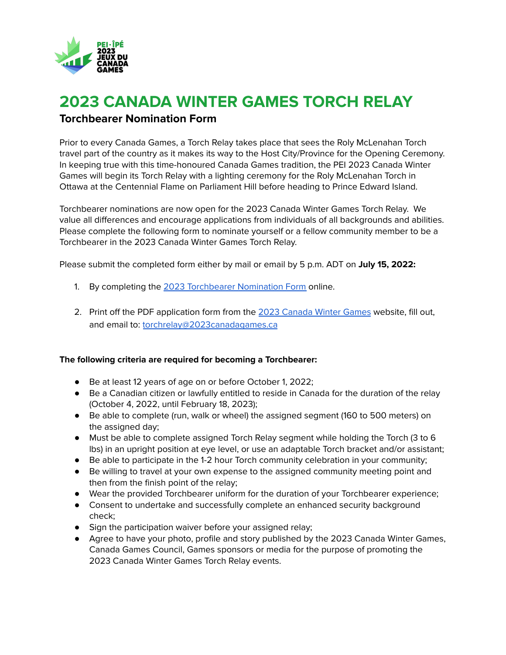

# **2023 CANADA WINTER GAMES TORCH RELAY Torchbearer Nomination Form**

Prior to every Canada Games, a Torch Relay takes place that sees the Roly McLenahan Torch travel part of the country as it makes its way to the Host City/Province for the Opening Ceremony. In keeping true with this time-honoured Canada Games tradition, the PEI 2023 Canada Winter Games will begin its Torch Relay with a lighting ceremony for the Roly McLenahan Torch in Ottawa at the Centennial Flame on Parliament Hill before heading to Prince Edward Island.

Torchbearer nominations are now open for the 2023 Canada Winter Games Torch Relay. We value all differences and encourage applications from individuals of all backgrounds and abilities. Please complete the following form to nominate yourself or a fellow community member to be a Torchbearer in the 2023 Canada Winter Games Torch Relay.

Please submit the completed form either by mail or email by 5 p.m. ADT on **July 15, 2022:**

- 1. By completing the 2023 [Torchbearer](https://docs.google.com/forms/d/e/1FAIpQLSflCSsM_9lFSDWpgO1oQNH_cTrSWxLUj_-I9HW6JXdM7paSbQ/viewform?usp=sf_link) Nomination Form online.
- 2. Print off the PDF application form from the 2023 [Canada](https://www.2023canadagames.ca/) Winter Games website, fill out, and email to: [torchrelay@2023canadagames.ca](mailto:torchrelay@2023canadagames.ca)

#### **The following criteria are required for becoming a Torchbearer:**

- Be at least 12 years of age on or before October 1, 2022;
- Be a Canadian citizen or lawfully entitled to reside in Canada for the duration of the relay (October 4, 2022, until February 18, 2023);
- Be able to complete (run, walk or wheel) the assigned segment (160 to 500 meters) on the assigned day;
- Must be able to complete assigned Torch Relay segment while holding the Torch (3 to 6 lbs) in an upright position at eye level, or use an adaptable Torch bracket and/or assistant;
- Be able to participate in the 1-2 hour Torch community celebration in your community;
- Be willing to travel at your own expense to the assigned community meeting point and then from the finish point of the relay;
- Wear the provided Torchbearer uniform for the duration of your Torchbearer experience;
- Consent to undertake and successfully complete an enhanced security background check;
- Sign the participation waiver before your assigned relay;
- Agree to have your photo, profile and story published by the 2023 Canada Winter Games, Canada Games Council, Games sponsors or media for the purpose of promoting the 2023 Canada Winter Games Torch Relay events.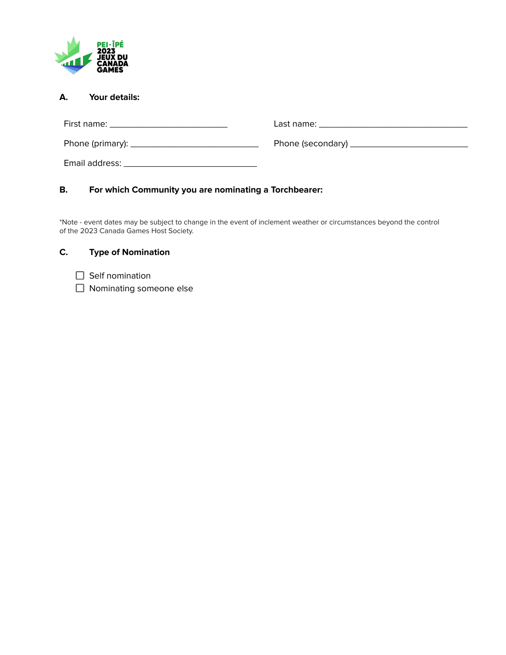

| А.<br>Your details: |  |
|---------------------|--|
|                     |  |
|                     |  |
|                     |  |
|                     |  |

## **B. For which Community you are nominating a Torchbearer:**

\*Note - event dates may be subject to change in the event of inclement weather or circumstances beyond the control of the 2023 Canada Games Host Society.

## **C. Type of Nomination**

- $\Box$  Self nomination
- □ Nominating someone else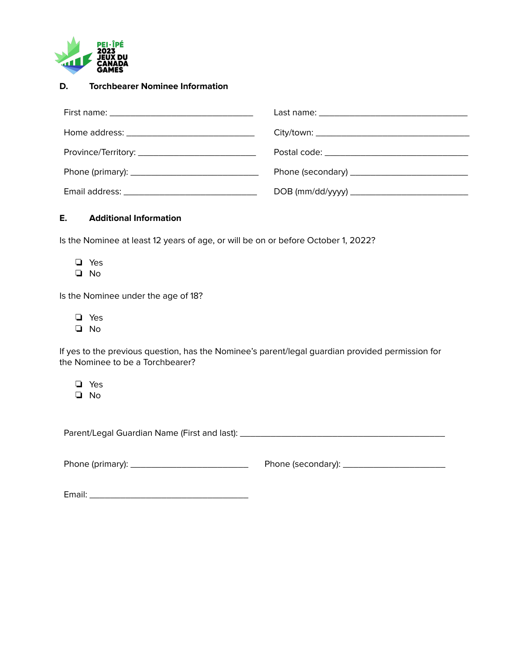

#### **D. Torchbearer Nominee Information**

| DOB (mm/dd/yyyy) _______________________________ |
|--------------------------------------------------|

## **E. Additional Information**

Is the Nominee at least 12 years of age, or will be on or before October 1, 2022?

- ❏ Yes
- ❏ No

Is the Nominee under the age of 18?

- ❏ Yes
- ❏ No

If yes to the previous question, has the Nominee's parent/legal guardian provided permission for the Nominee to be a Torchbearer?

❏ Yes ❏ No

Parent/Legal Guardian Name (First and last): \_\_\_\_\_\_\_\_\_\_\_\_\_\_\_\_\_\_\_\_\_\_\_\_\_\_\_\_\_\_\_\_\_\_\_\_\_\_\_\_

Phone (primary): \_\_\_\_\_\_\_\_\_\_\_\_\_\_\_\_\_\_\_\_\_\_\_ Phone (secondary): \_\_\_\_\_\_\_\_\_\_\_\_\_\_\_\_\_\_\_\_

Email: \_\_\_\_\_\_\_\_\_\_\_\_\_\_\_\_\_\_\_\_\_\_\_\_\_\_\_\_\_\_\_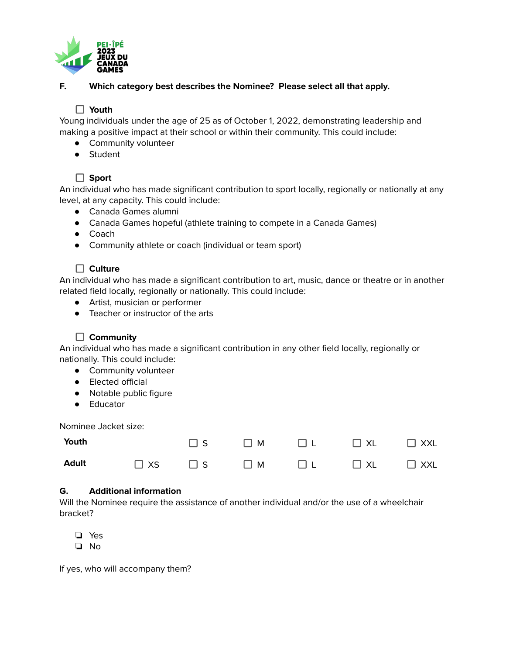

## **F. Which category best describes the Nominee? Please select all that apply.**

## **Youth**

Young individuals under the age of 25 as of October 1, 2022, demonstrating leadership and making a positive impact at their school or within their community. This could include:

- Community volunteer
- Student

## **Sport**

An individual who has made significant contribution to sport locally, regionally or nationally at any level, at any capacity. This could include:

- Canada Games alumni
- Canada Games hopeful (athlete training to compete in a Canada Games)
- Coach
- Community athlete or coach (individual or team sport)

## **Culture**

An individual who has made a significant contribution to art, music, dance or theatre or in another related field locally, regionally or nationally. This could include:

- Artist, musician or performer
- Teacher or instructor of the arts

## **Community**

An individual who has made a significant contribution in any other field locally, regionally or nationally. This could include:

- Community volunteer
- Elected official
- Notable public figure
- Educator

Nominee Jacket size:

| Youth                             |  |  | $\square$ s $\square$ m $\square$ l $\square$ xL $\square$ xxL |  |
|-----------------------------------|--|--|----------------------------------------------------------------|--|
| Adult □ xs □ s □ m □ L □ xL □ xxL |  |  |                                                                |  |

#### **G. Additional information**

Will the Nominee require the assistance of another individual and/or the use of a wheelchair bracket?

❏ Yes

❏ No

If yes, who will accompany them?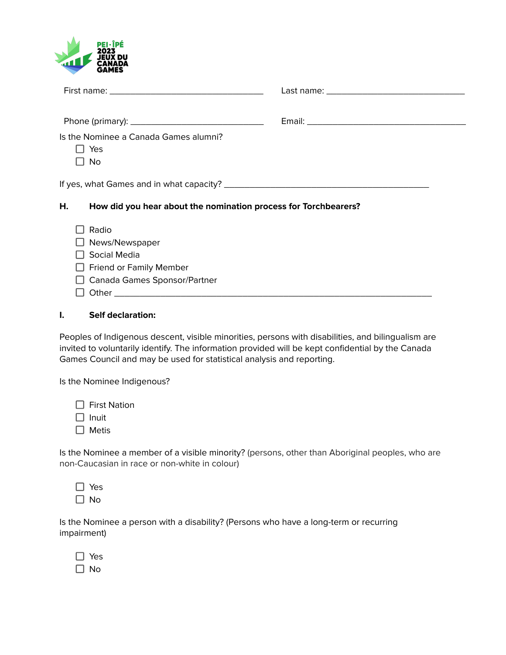

| Is the Nominee a Canada Games alumni?<br>Yes<br><b>No</b>                                                 |  |
|-----------------------------------------------------------------------------------------------------------|--|
| Н.<br>How did you hear about the nomination process for Torchbearers?                                     |  |
| Radio<br>News/Newspaper<br>Social Media<br><b>Friend or Family Member</b><br>Canada Games Sponsor/Partner |  |

#### **I. Self declaration:**

Peoples of Indigenous descent, visible minorities, persons with disabilities, and bilingualism are invited to voluntarily identify. The information provided will be kept confidential by the Canada Games Council and may be used for statistical analysis and reporting.

Is the Nominee Indigenous?

□ First Nation

 $\Box$  Inuit

 $\Box$  Metis

Is the Nominee a member of a visible minority? (persons, other than Aboriginal peoples, who are non-Caucasian in race or non-white in colour)

| z      |
|--------|
| J<br>n |

Is the Nominee a person with a disability? (Persons who have a long-term or recurring impairment)

| 2<br>▀ |
|--------|
| J<br>∩ |